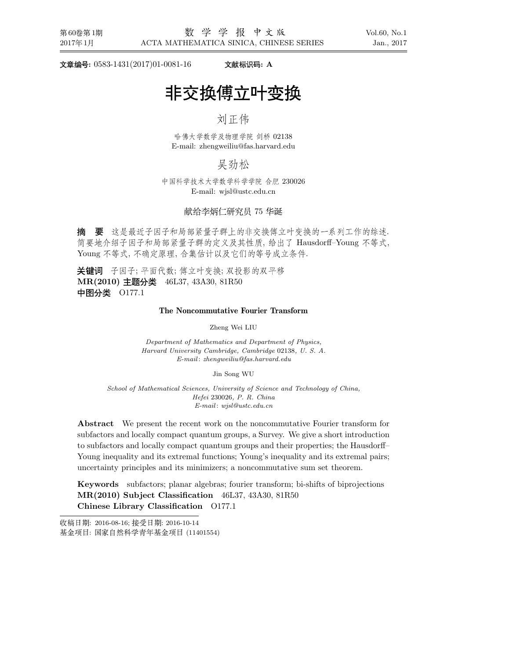-**:** 0583-1431(2017)01-0081-16 **: A**

# . The contract of the contract of the contract of the contract of the contract of the contract of the contract of the contract of the contract of the contract of the contract of the contract of the contract of the contrac

# 

哈佛大学数学及物理学院 剑桥 02138 E-mail: zhengweiliu@fas.harvard.edu

#### 吴劲松  $\sim$  . The set of the set of the set of the set of the set of the set of the set of the set of the set of the set of the set of the set of the set of the set of the set of the set of the set of the set of the set of the s

中国科学技术大学数学科学学院 合肥 230026 E-mail: wjsl@ustc.edu.cn

#### . . . . . 献给李炳仁研究员 75 华诞

摘 要 这是最近子因子和局部紧量子群上的非交换傅立叶变换的一系列工作的综述. 简要地介绍子因子和局部紧量子群的定义及其性质, 给出了 Hausdorff-Young 不等式, Young 不等式, 不确定原理, 合集估计以及它们的等号成立条件.

关键词 子因子: 平面代数; 傅立叶变换; 双投影的双平移 **MR(2010) 主题分类** 46L37, 43A30, 81R50 中图分类 0177.1

#### **The Noncommutative Fourier Transform**

Zheng Wei LIU

*Department of Mathematics and Department of Physics, Harvard University Cambridge, Cambridge* 02138*, U. S. A. E-mail* : *zhengweiliu@fas.harvard.edu*

Jin Song WU

*School of Mathematical Sciences, University of Science and Technology of China, Hefei* 230026*, P. R. China E-mail* : *wjsl@ustc.edu.cn*

**Abstract** We present the recent work on the noncommutative Fourier transform for subfactors and locally compact quantum groups, a Survey. We give a short introduction to subfactors and locally compact quantum groups and their properties; the Hausdorff– Young inequality and its extremal functions; Young's inequality and its extremal pairs; uncertainty principles and its minimizers; a noncommutative sum set theorem.

**Keywords** subfactors; planar algebras; fourier transform; bi-shifts of biprojections **MR(2010) Subject Classification** 46L37, 43A30, 81R50 **Chinese Library Classification** O177.1

收稿日期: 2016-08-16; 接受日期: 2016-10-14

基金项目: 国家自然科学青年基金项目 (11401554)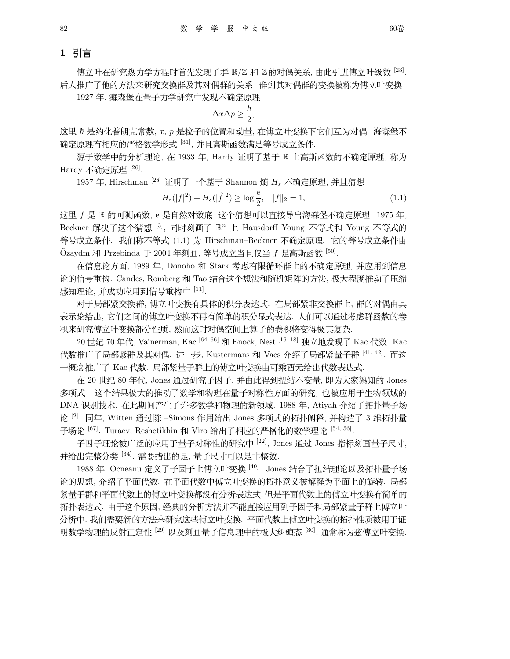# 1 引言

傅立叶在研究热力学方程时首先发现了群 R/Z 和 Z的对偶关系, 由此引进傅立叶级数 [23]. 后人推广了他的方法来研究交换群及其对偶群的关系. 群到其对偶群的变换被称为傅立叶变换.

1927年, 海森堡在量子力学研究中发现不确定原理

$$
\Delta x \Delta p \ge \frac{\hbar}{2},
$$

这里  $\hbar$  是约化普朗克常数, x, p 是粒子的位置和动量, 在傅立叶变换下它们互为对偶. 海森堡不 确定原理有相应的严格数学形式 [31], 并且高斯函数满足等号成立条件.

源于数学中的分析理论, 在 1933 年, Hardy 证明了基于 R 上高斯函数的不确定原理, 称为 Hardy 不确定原理<sup>[26]</sup>.

1957年, Hirschman<sup>[28]</sup> 证明了一个基于 Shannon 熵 H<sub>s</sub> 不确定原理, 并且猜想

$$
H_s(|f|^2) + H_s(|\hat{f}|^2) \ge \log \frac{e}{2}, \quad \|f\|_2 = 1,\tag{1.1}
$$

这里 f 是 R 的可测函数, e 是自然对数底. 这个猜想可以直接导出海森堡不确定原理. 1975 年, Beckner 解决了这个猜想 [3], 同时刻画了 R<sup>n</sup> 上 Hausdorff-Young 不等式和 Young 不等式的 等号成立条件. 我们称不等式 (1.1) 为 Hirschman-Beckner 不确定原理. 它的等号成立条件由  $O$ zaydm 和 Przebinda 于 2004 年刻画, 等号成立当且仅当 f 是高斯函数 [50].

在信息论方面, 1989 年, Donoho 和 Stark 考虑有限循环群上的不确定原理, 并应用到信息 论的信号重构. Candes, Romberg 和 Tao 结合这个想法和随机矩阵的方法, 极大程度推动了压缩 感知理论,并成功应用到信号重构中 [11].

对于局部紧交换群, 傅立叶变换有具体的积分表达式. 在局部紧非交换群上, 群的对偶由其 表示论给出,它们之间的傅立叶变换不再有简单的积分显式表达. 人们可以通过考虑群函数的卷 积来研究傅立叶变换部分性质, 然而这时对偶空间上算子的卷积将变得极其复杂.

20 世纪 70 年代, Vainerman, Kac<sup>[64-66]</sup> 和 Enock, Nest<sup>[16-18]</sup> 独立地发现了 Kac 代数. Kac 代数推广了局部紧群及其对偶. 进一步, Kustermans 和 Vaes 介绍了局部紧量子群 [41,42]. 而这 一概念推广了 Kac 代数. 局部紧量子群上的傅立叶变换由可乘酉元给出代数表达式.

在 20世纪 80年代, Jones 通过研究子因子, 并由此得到扭结不变量, 即为大家熟知的 Jones 多项式. 这个结果极大的推动了数学和物理在量子对称性方面的研究, 也被应用于生物领域的 DNA 识别技术. 在此期间产生了许多数学和物理的新领域. 1988 年, Atiyah 介绍了拓扑量子场 论<sup>[2]</sup>. 同年, Witten 通过陈 -Simons 作用给出 Jones 多项式的拓扑阐释, 并构造了 3 维拓扑量 子场论 <sup>[67]</sup>. Turaev, Reshetikhin 和 Viro 给出了相应的严格化的数学理论 <sup>[54, 56]</sup>.

子因子理论被广泛的应用于量子对称性的研究中<sup>[22]</sup>, Jones 通过 Jones 指标刻画量子尺寸, 并给出完整分类 [34]. 需要指出的是, 量子尺寸可以是非整数.

1988 年, Ocneanu 定义了子因子上傅立叶变换 [49]. Jones 结合了扭结理论以及拓扑量子场 论的思想, 介绍了平面代数. 在平面代数中傅立叶变换的拓扑意义被解释为平面上的旋转. 局部 紧量子群和平面代数上的傅立叶变换都没有分析表达式,但是平面代数上的傅立叶变换有简单的 拓扑表达式. 由于这个原因, 经典的分析方法并不能直接应用到子因子和局部紧量子群上傅立叶 分析中. 我们需要新的方法来研究这些傅立叶变换. 平面代数上傅立叶变换的拓扑性质被用于证 明数学物理的反射正定性 <sup>[29]</sup> 以及刻画量子信息理中的极大纠缠态 <sup>[30]</sup>, 通常称为弦傅立叶变换.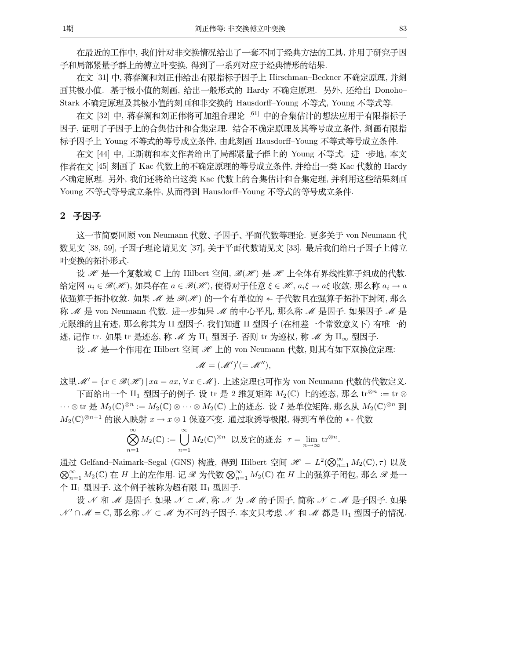在最近的工作中, 我们针对非交换情况给出了一套不同于经典方法的工具, 并用于研究子因 子和局部紧量子群上的傅立叶变换, 得到了一系列对应于经典情形的结果.

在文 [31] 中, 蒋春澜和刘正伟给出有限指标子因子上 Hirschman-Beckner 不确定原理, 并刻 画其极小值. 基于极小值的刻画, 给出一般形式的 Hardy 不确定原理. 另外, 还给出 Donoho-Stark 不确定原理及其极小值的刻画和非交换的 Hausdorff–Young 不等式, Young 不等式等.

在文 [32] 中, 蒋春澜和刘正伟将可加组合理论<sup>[61]</sup> 中的合集估计的想法应用于有限指标子 因子, 证明了子因子上的合集估计和合集定理. 结合不确定原理及其等号成立条件, 刻画有限指 标子因子上 Young 不等式的等号成立条件, 由此刻画 Hausdorff–Young 不等式等号成立条件.

在文 [44] 中, 王斯萌和本文作者给出了局部紧量子群上的 Young 不等式. 进一步地, 本文 作者在文 [45] 刻画了 Kac 代数上的不确定原理的等号成立条件, 并给出一类 Kac 代数的 Hardy 不确定原理. 另外, 我们还将给出这类 Kac 代数上的合集估计和合集定理, 并利用这些结果刻画 Young 不等式等号成立条件, 从而得到 Hausdorff-Young 不等式的等号成立条件.

### 2 子因子

这一节简要回顾 von Neumann 代数、子因子、平面代数等理论. 更多关于 von Neumann 代 数见文 [38, 59], 子因子理论请见文 [37], 关于平面代数请见文 [33]. 最后我们给出子因子上傅立 叶变换的拓扑形式.

设 *∦* 是一个复数域 C 上的 Hilbert 空间,  $\mathcal{B}(\mathcal{H})$  是 *∦* 上全体有界线性算子组成的代数. 给定网  $a_i \in \mathcal{B}(\mathcal{H})$ , 如果存在  $a \in \mathcal{B}(\mathcal{H})$ , 使得对于任意  $\xi \in \mathcal{H}$ ,  $a_i \xi \to a\xi$  收敛, 那么称  $a_i \to a$ 依强算子拓扑收敛. 如果 *M* 是 *B*(*H*) 的一个有单位的 \*- 子代数且在强算子拓扑下封闭, 那么 *称 M* 是 von Neumann 代数. 进一步如果 M 的中心平凡, 那么称 M 是因子. 如果因子 M 是 无限维的且有迹, 那么称其为 II 型因子. 我们知道 II 型因子 (在相差一个常数意义下) 有唯一的 迹, 记作 tr. 如果 tr 是迹态, 称 *M* 为 II<sub>1</sub> 型因子. 否则 tr 为迹权, 称 *M* 为 II<sub>∞</sub> 型因子.

设 *M* 是一个作用在 Hilbert 空间 H 上的 von Neumann 代数, 则其有如下双换位定理:

$$
\mathscr{M} = (\mathscr{M}')' (= \mathscr{M}''),
$$

 $\mathcal{R} \boxtimes \mathcal{L} = \{x \in \mathcal{B}(\mathcal{H}) \mid xa = ax, \forall x \in \mathcal{M}\}.$   $\bot$ 述定理也可作为 von Neumann 代数的代数定义. 下面给出一个 II<sub>1</sub> 型因子的例子. 设 tr 是 2 维复矩阵  $M_2(\mathbb{C})$  上的迹态, 那么 tr<sup>⊗n</sup> := tr ⊗

···⊗tr 是  $M_2(\mathbb{C})^{\otimes n} := M_2(\mathbb{C}) \otimes \cdots \otimes M_2(\mathbb{C})$  上的迹态. 设 I 是单位矩阵, 那么从  $M_2(\mathbb{C})^{\otimes n}$  到  $M_2(\mathbb{C})^{\otimes n+1}$  的嵌入映射  $x \to x \otimes 1$  保迹不变. 通过取诱导极限, 得到有单位的 ∗ - 代数

$$
\bigotimes_{n=1}^{\infty} M_2(\mathbb{C}) := \bigcup_{n=1}^{\infty} M_2(\mathbb{C})^{\otimes n} \quad \text{U} \times \text{E} \text{ in } \mathbb{Z}^{\infty} \quad \tau = \lim_{n \to \infty} \text{tr}^{\otimes n}.
$$

通过 Gelfand–Naimark–Segal (GNS) 构造, 得到 Hilbert 空间  $\mathscr{H} = L^2(\bigotimes_{n=1}^{\infty} M_2(\mathbb{C}), \tau)$  以及 ⊗≈\_1 M2(C) 在 *H* 上的左作用. 记 ℛ 为代数 ⊗≈\_1 M2(C) 在 *H* 上的强算子闭包, 那么 *⊗* 是一<br>△ H =™EN X . A & & Z # fo \+# 右程 H = ™EN X 个 II1 型因子. 这个例子被称为超有限 II1 型因子.

*设 ∦* 和 *M* 是因子. 如果 *N* ⊂ *M*, 称 *N* 为 *M* 的子因子, 简称 *N* ⊂ *M* 是子因子. 如果 *N'* ∩ *M* = C, 那么称 *N* ⊂ *M* 为不可约子因子. 本文只考虑 N 和 *M* 都是 II<sub>1</sub> 型因子的情况.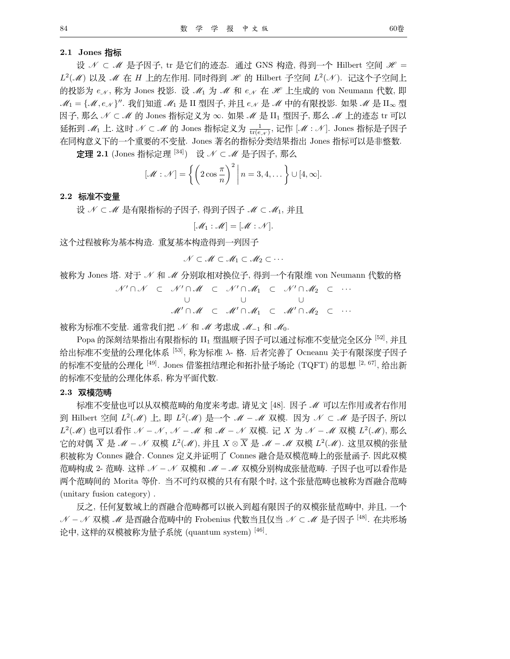#### 2.1 Jones 指标

设 N C M 是子因子, tr 是它们的迹态. 通过 GNS 构造, 得到一个 Hilbert 空间 H =  $L^2(\mathcal{M})$  以及  $\mathcal{M}$  在  $H$  上的左作用. 同时得到  $\mathcal{H}$  的 Hilbert 子空间  $L^2(\mathcal{N})$ . 记这个子空间上 的投影为  $e_{\mathcal{N}}$ , 称为 Jones 投影. 设  $\mathcal{M}_1$  为  $\mathcal{M}$  和  $e_{\mathcal{N}}$  在  $\mathcal{H}$  上生成的 von Neumann 代数, 即  $\mathcal{M}_1 = \{ \mathcal{M}, e_N \}''$ . 我们知道 $\mathcal{M}_1$ 是 II 型因子, 并且  $e_N$ 是  $\mathcal{M}$  中的有限投影. 如果  $\mathcal{M}$  是 II<sub>∞</sub> 型 因子, 那么 N C M 的 Jones 指标定义为 ∞. 如果 M 是 II1 型因子, 那么 M 上的迹态 tr 可以 延拓到  $\mathcal{M}_1$  上. 这时  $\mathcal{N} \subset \mathcal{M}$  的 Jones 指标定义为  $\frac{1}{\text{tr}(\epsilon,\gamma)}$ , 记作  $[\mathcal{M} : \mathcal{N}]$ . Jones 指标是子因子 在同构意义下的一个重要的不变量. Jones 著名的指标分类结果指出 Jones 指标可以是非整数.

定理 2.1 (Jones 指标定理 [34]) 设 N ⊂ M 是子因子, 那么

$$
[\mathscr{M} : \mathscr{N}] = \left\{ \left( 2 \cos \frac{\pi}{n} \right)^2 \middle| n = 3, 4, \dots \right\} \cup [4, \infty].
$$

#### 2.2 标准不变量

设 N C M 是有限指标的子因子, 得到子因子 M C M<sub>1</sub>, 并且

$$
[\mathcal{M}_1:\mathcal{M}]=[\mathcal{M}:\mathcal{N}].
$$

这个过程被称为基本构造. 重复基本构造得到一列因子.

$$
\mathcal{N} \subset \mathcal{M} \subset \mathcal{M}_1 \subset \mathcal{M}_2 \subset \cdots
$$

被称为 Jones 塔. 对于 / 和 / 分别取相对换位子, 得到一个有限维 von Neumann 代数的格

$$
W' \cap \mathcal{N} \subset \mathcal{N}' \cap \mathcal{M} \subset \mathcal{N}' \cap \mathcal{M}_1 \subset \mathcal{N}' \cap \mathcal{M}_2 \subset \cdots
$$
  
U \cup  

$$
\mathcal{M}' \cap \mathcal{M} \subset \mathcal{M}' \cap \mathcal{M}_1 \subset \mathcal{M}' \cap \mathcal{M}_2 \subset \cdots
$$

被称为标准不变量. 通常我们把 N 和 M 考虑成 M<sub>-1</sub> 和 Mo.

Popa 的深刻结果指出有限指标的 II1 型温顺子因子可以通过标准不变量完全区分 [52], 并且 给出标准不变量的公理化体系 [53], 称为标准 入 格. 后者完善了 Ocneanu 关于有限深度子因子 的标准不变量的公理化 [49]. Jones 借鉴扭结理论和拓扑量子场论 (TQFT) 的思想 [2, 67], 给出新 的标准不变量的公理化体系, 称为平面代数.

#### 2.3 双模范畴

标准不变量也可以从双模范畴的角度来考虑, 请见文 [48]. 因子 ℳ 可以左作用或者右作用 到 Hilbert 空间 L<sup>2</sup>(M) 上, 即 L<sup>2</sup>(M) 是一个 M – M 双模. 因为 N ⊂ M 是子因子, 所以  $L^2(\mathcal{M})$  也可以看作 N - N, N - M 和 M - N 双模. 记 X 为 N - M 双模  $L^2(\mathcal{M})$ , 那么 它的对偶  $\overline{X}$  是  $\mathcal{M}$  –  $\mathcal{N}$  双模  $L^2(\mathcal{M})$ , 并且  $X \otimes \overline{X}$  是  $\mathcal{M}$  –  $\mathcal{M}$  双模  $L^2(\mathcal{M})$ . 这里双模的张量 积被称为 Connes 融合. Connes 定义并证明了 Connes 融合是双模范畴上的张量函子. 因此双模 范畴构成 2- 范畴. 这样 ∥ — ∥ 双模和 ℳ — ℳ 双模分别构成张量范畴. 子因子也可以看作是 两个范畴间的 Morita 等价. 当不可约双模的只有有限个时, 这个张量范畴也被称为酉融合范畴 (unitary fusion category).

反之,任何复数域上的酉融合范畴都可以嵌入到超有限因子的双模张量范畴中,并且,一个 *N - N* 双模 *M* 是酉融合范畴中的 Frobenius 代数当且仅当 N ⊂ M 是子因子 [48]. 在共形场 论中, 这样的双模被称为量子系统 (quantum system) [46].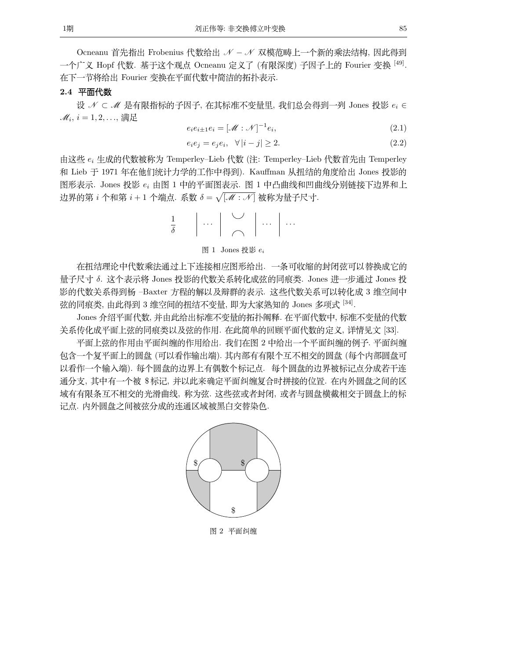85

Ocneanu 首先指出 Frobenius 代数给出 N - N 双模范畴上一个新的乘法结构, 因此得到 一个广义 Hopf 代数. 基于这个观点 Ocneanu 定义了 (有限深度) 子因子上的 Fourier 变换 <sup>[49]</sup>. 在下一节将给出 Fourier 变换在平面代数中简洁的拓扑表示.

### 2.4 平面代数

设 N C M 是有限指标的子因子, 在其标准不变量里, 我们总会得到一列 Jones 投影  $e_i \in$  $\mathscr{M}_i$ ,  $i=1,2,\ldots$ , 满足

$$
e_i e_{i \pm 1} e_i = [\mathcal{M} : \mathcal{N}]^{-1} e_i,\tag{2.1}
$$

$$
e_i e_j = e_j e_i, \quad \forall |i - j| \ge 2. \tag{2.2}
$$

由这些  $e_i$  生成的代数被称为 Temperley-Lieb 代数 (注: Temperley-Lieb 代数首先由 Temperley 和 Lieb 于 1971 年在他们统计力学的工作中得到). Kauffman 从扭结的角度给出 Jones 投影的 图形表示. Jones 投影 e<sub>i</sub> 由图 1 中的平面图表示. 图 1 中凸曲线和凹曲线分别链接下边界和上 边界的第 i 个和第 i + 1 个端点. 系数 δ =  $\sqrt{[\mathcal{M}:\mathcal{N}]}$  被称为量子尺寸.

$$
\frac{1}{\delta} \qquad \bigg|\; \cdots \;\bigg|\; \stackrel{\bigtriangledown}{\frown}\; \bigg|\; \cdots \;\bigg|\; \cdots
$$

图 1 Jones 投影  $e_i$ 

在扭结理论中代数乘法通过上下连接相应图形给出. 一条可收缩的封闭弦可以替换成它的 量子尺寸 δ. 这个表示将 Jones 投影的代数关系转化成弦的同痕类. Jones 进一步通过 Jones 投 影的代数关系得到杨 -Baxter 方程的解以及辩群的表示. 这些代数关系可以转化成 3 维空间中 弦的同痕类, 由此得到 3 维空间的扭结不变量, 即为大家熟知的 Jones 多项式 [34].

Jones 介绍平面代数, 并由此给出标准不变量的拓扑阐释. 在平面代数中, 标准不变量的代数 关系传化成平面上弦的同痕类以及弦的作用. 在此简单的回顾平面代数的定义, 详情见文 [33].

平面上弦的作用由平面纠缠的作用给出. 我们在图 2 中给出一个平面纠缠的例子. 平面纠缠 包含一个复平面上的圆盘 (可以看作输出端). 其内部有有限个互不相交的圆盘 (每个内部圆盘可 以看作一个输入端). 每个圆盘的边界上有偶数个标记点. 每个圆盘的边界被标记点分成若干连 通分支,其中有一个被 \$标记,并以此来确定平面纠缠复合时拼接的位置. 在内外圆盘之间的区 域有有限条互不相交的光滑曲线,称为弦. 这些弦或者封闭, 或者与圆盘横截相交于圆盘上的标 记点. 内外圆盘之间被弦分成的连通区域被黑白交替染色.



图 2 平面纠缠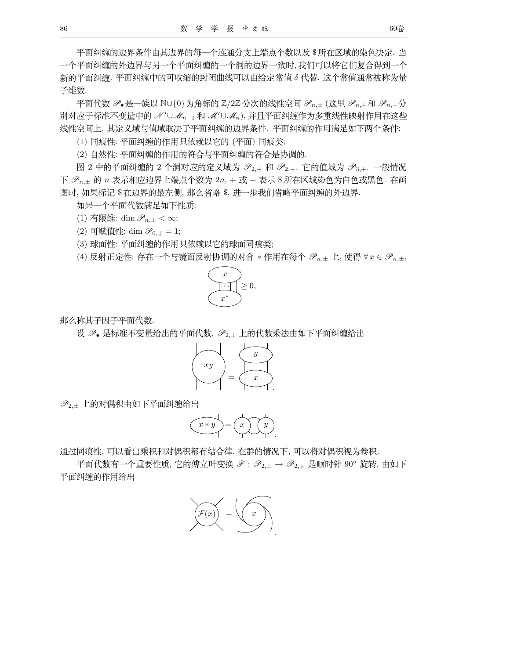平面纠缠的边界条件由其边界的每一个连通分支上端点个数以及 \$ 所在区域的染色决定. 当 一个平面纠缠的外边界与另一个平面纠缠的一个洞的边界一致时,我们可以将它们复合得到一个 新的平面纠缠. 平面纠缠中的可收缩的封闭曲线可以由给定常值 δ 代替. 这个常值通常被称为量 子维数.

平面代数  $\mathscr{P}_\bullet$ 是一族以 NU{0}为角标的 Z/2Z 分次的线性空间  $\mathscr{P}_{n,+}$  (这里  $\mathscr{P}_{n,+}$ 和  $\mathscr{P}_{n,-}$ 分 别对应于标准不变量中的 N'UMn-1 和 M'UMn), 并且平面纠缠作为多重线性映射作用在这些 线性空间上,其定义域与值域取决于平面纠缠的边界条件. 平面纠缠的作用满足如下两个条件:

(1) 同痕性: 平面纠缠的作用只依赖以它的 (平面) 同痕类;

(2) 自然性: 平面纠缠的作用的符合与平面纠缠的符合是协调的.

图 2 中的平面纠缠的 2 个洞对应的定义域为  $\mathscr{P}_{2,+}$  和  $\mathscr{P}_{2,-}$ . 它的值域为  $\mathscr{P}_{3,+}$ . 一般情况 下  $\mathscr{P}_{n,\pm}$  的 n 表示相应边界上端点个数为  $2n$ , + 或 - 表示 \$ 所在区域染色为白色或黑色. 在画 图时, 如果标记 \$在边界的最左侧, 那么省略 \$, 进一步我们省略平面纠缠的外边界.

如果一个平面代数满足如下性质:

(1) 有限维: dim  $\mathscr{P}_{n,\pm} < \infty$ ;

(2) 可赋值性: dim  $\mathscr{P}_{0,\pm} = 1$ ;

(3) 球面性: 平面纠缠的作用只依赖以它的球面同痕类;

(4) 反射正定性: 存在一个与镜面反射协调的对合 \* 作用在每个  $\mathscr{P}_{n,\pm}$  上, 使得  $\forall x \in \mathscr{P}_{n,\pm}$ ,



那么称其子因子平面代数.

设  $\mathscr{P}_{\bullet}$  是标准不变量给出的平面代数,  $\mathscr{P}_{2,\pm}$  上的代数乘法由如下平面纠缠给出



 $\mathscr{P}_{2,\pm}$ 上的对偶积由如下平面纠缠给出

$$
\left(\begin{matrix} x*y\\ \hline \end{matrix}\right)=\left(\begin{matrix} x\\ \hline \end{matrix}\right)\left(\begin{matrix} y\\ \hline \end{matrix}\right).
$$

通过同痕性, 可以看出乘积和对偶积都有结合律. 在群的情况下, 可以将对偶积视为卷积.

平面代数有一个重要性质, 它的傅立叶变换  $\mathscr{S} : \mathscr{P}_{2,\pm} \to \mathscr{P}_{2,\mp}$  是顺时针 90° 旋转, 由如下 平面纠缠的作用给出

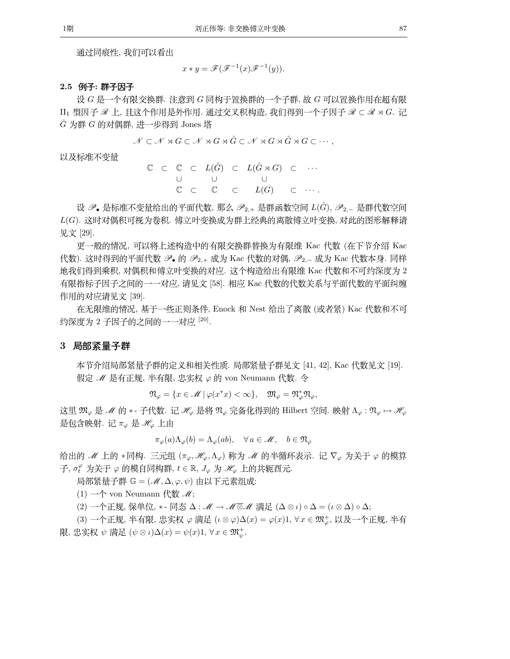通过同痕性, 我们可以看出

$$
x * y = \mathscr{F}(\mathscr{F}^{-1}(x)\mathscr{F}^{-1}(y)).
$$

#### 2.5 例子: 群子因子

设 G 是一个有限交换群. 注意到 G 同构于置换群的一个子群, 故 G 可以置换作用在超有限  $\hat{G}$  为群  $G$  的对偶群, 进一步得到 Jones 塔

$$
\mathcal{N} \subset \mathcal{N} \rtimes G \subset \mathcal{N} \rtimes G \rtimes \hat{G} \subset \mathcal{N} \rtimes G \rtimes \hat{G} \rtimes G \subset \cdots,
$$

以及标准不变量

|  |  |  | $\mathbb{C} \quad \subset \quad \mathbb{C} \quad \subset \quad L(\hat{G}) \quad \subset \quad L(\hat{G} \rtimes G) \quad \subset \quad \cdots$ |  |
|--|--|--|------------------------------------------------------------------------------------------------------------------------------------------------|--|
|  |  |  | $\cup$ $\cup$ $\cup$                                                                                                                           |  |
|  |  |  | $\mathbb{C} \quad \subset \quad \mathbb{C} \quad \subset \quad L(G) \quad \subset \quad \cdots.$                                               |  |

设  $\mathscr{P}_\bullet$  是标准不变量给出的平面代数,那么  $\mathscr{P}_{2,+}$  是群函数空间  $L(\hat{G})$ ,  $\mathscr{P}_{2,-}$  是群代数空间 L(G). 这时对偶积可视为卷积. 傅立叶变换成为群上经典的离散傅立叶变换, 对此的图形解释请 见文 [29].

更一般的情况, 可以将上述构造中的有限交换群替换为有限维 Kac 代数 (在下节介绍 Kac 代数). 这时得到的平面代数  $\mathscr{P}_\bullet$  的  $\mathscr{P}_{2,+}$  成为 Kac 代数的对偶,  $\mathscr{P}_{2,-}$  成为 Kac 代数本身. 同样 地我们得到乘积, 对偶积和傅立叶变换的对应. 这个构造给出有限维 Kac 代数和不可约深度为 2 有限指标子因子之间的一一对应, 请见文 [58]. 相应 Kac 代数的代数关系与平面代数的平面纠缠 作用的对应请见文 [39].

在无限维的情况, 基于一些正则条件, Enock 和 Nest 给出了离散 (或者紧) Kac 代数和不可 约深度为 2 子因子的之间的一一对应 [20].

#### 3 局部紧量子群

本节介绍局部紧量子群的定义和相关性质. 局部紧量子群见文 [41, 42], Kac 代数见文 [19]. 假定  $M$  是有正规, 半有限, 忠实权  $\varphi$  的 von Neumann 代数. 令

 $\mathfrak{N}_{\varphi} = \{x \in \mathcal{M} \mid \varphi(x^*x) < \infty\}, \quad \mathfrak{M}_{\varphi} = \mathfrak{N}_{\varphi}^* \mathfrak{N}_{\varphi},$ 

这里  $\mathfrak{M}_{\varphi}$  是  $\mathcal{M}$  的 \* - 子代数. 记  $\mathcal{H}_{\varphi}$  是将  $\mathfrak{N}_{\varphi}$  完备化得到的 Hilbert 空间. 映射  $\Lambda_{\varphi} : \mathfrak{N}_{\varphi} \mapsto \mathcal{H}_{\varphi}$ 是包含映射. 记  $\pi_{\varphi}$  是  $\mathscr{H}_{\varphi}$  上由

 $\pi_{\varphi}(a)\Lambda_{\varphi}(b) = \Lambda_{\varphi}(ab), \quad \forall a \in \mathscr{M}, \quad b \in \mathfrak{N}_{\varphi}$ 

给出的  $\mathcal{M}$  上的 \*同构. 三元组 ( $\pi_{\varphi}, \mathcal{H}_{\varphi}, \Lambda_{\varphi}$ ) 称为  $\mathcal{M}$  的半循环表示. 记  $\nabla_{\varphi}$  为关于  $\varphi$  的模算 子,  $\sigma_t^{\varphi}$  为关于  $\varphi$  的模自同构群,  $t \in \mathbb{R}$ ,  $J_{\varphi}$  为  $\mathscr{H}_{\varphi}$  上的共轭酉元.

局部紧量子群  $\mathbb{G} = (\mathscr{M}, \Delta, \varphi, \psi)$  由以下元素组成:

(1) 一个 von Neumann 代数  $\mathcal{M}$ ;

(2) 一个正规, 保单位, \* - 同态  $\Delta$  :  $\mathscr{M} \to \mathscr{M} \overline{\otimes} \mathscr{M}$  满足  $(\Delta \otimes \iota) \circ \Delta = (\iota \otimes \Delta) \circ \Delta;$ 

(3) 一个正规, 半有限, 忠实权  $\varphi$  满足  $(\iota \otimes \varphi) \Delta(x) = \varphi(x) 1$ ,  $\forall x \in \mathfrak{M}_{\varphi}^+, \forall x \in \mathfrak{M}_{\varphi}^+, \forall x \in \mathfrak{M}_{\varphi}^+, \forall x \in \mathfrak{M}_{\varphi}^+, \forall x \in \mathfrak{M}_{\varphi}^+, \forall x \in \mathfrak{M}_{\varphi}^+, \forall x \in \mathfrak{M}_{\varphi}^+, \forall x \in \mathfrak{M}_{\varphi}^-, \forall x \in \mathfrak{M}_{\varphi}^-, \forall x$ 限, 忠实权  $\psi$  满足  $(\psi \otimes \iota)\Delta(x) = \psi(x)1$ ,  $\forall x \in \mathfrak{M}_{\psi}^+$ .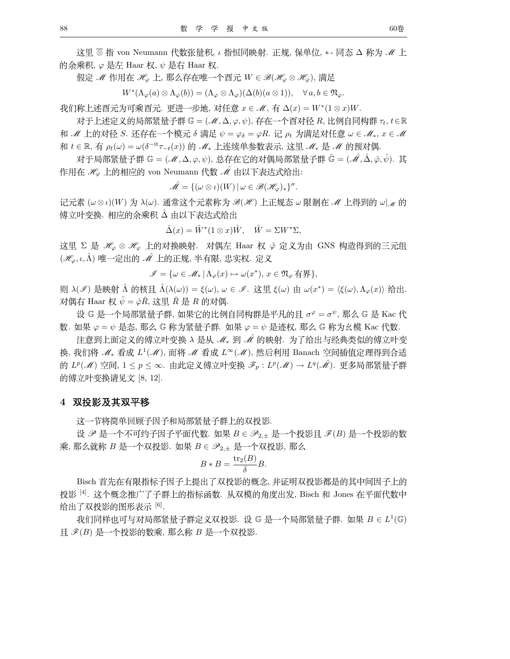<u>这里</u> ⊗ 指 von Neumann 代数张量积, ι 指恒同映射. 正规, 保单位, \*- 同态 Δ 称为 *M* 上 的余乘积,  $\varphi$  是左 Haar 权,  $\psi$  是右 Haar 权.

 $\mathcal{H} \times \mathcal{M}$  作用在  $\mathcal{H}_\varphi$  上, 那么存在唯一个酉元  $W \in \mathcal{B}(\mathcal{H}_\varphi \otimes \mathcal{H}_\varphi)$ , 满足

 $W^*(\Lambda_{\varphi}(a) \otimes \Lambda_{\varphi}(b)) = (\Lambda_{\varphi} \otimes \Lambda_{\varphi})(\Delta(b)(a \otimes 1)), \quad \forall a, b \in \mathfrak{N}_{\varphi}.$ 

 $\frac{1}{2}$  我们称上述酉元为可乘酉元. 更进一步地, 对任意  $x \in \mathcal{M}$ , 有  $\Delta(x) = W^*(1 \otimes x)W$ .

 $\pi$ 于上述定义的局部紧量子群 G =  $(\mathcal{M}, \Delta, \varphi, \psi)$ , 存在一个酉对径 R, 比例自同构群  $\tau_t, t \in \mathbb{R}$ 和 *M* 上的对径 *S*. 还存在一个模元 δ 满足  $\psi = \varphi_{\delta} = \varphi R$ . 记  $\rho_t$  为满足对任意  $\omega \in M_*, x \in M$  $n# t \in \mathbb{R}$ , 有  $ρ_t(ω) = ω(δ^{-it}τ_{-t}(x))$  的  $M_*$  上连续单参数表示, 这里  $M_*$  是  $M$  的预对偶

 $\pi$  对于局部紧量子群 G =  $(\mathcal{M}, \Delta, \varphi, \psi)$ , 总存在它的对偶局部紧量子群 Ĝ =  $(\hat{\mathcal{M}}, \hat{\Delta}, \hat{\varphi}, \hat{\psi})$ . 其 作用在  $\mathscr{H}_{\varphi}$  上的相应的 von Neumann 代数  $\hat{\mathscr{M}}$  由以下表达式给出:

 $\hat{\mathscr{M}} = \{(\omega \otimes \iota)(W) \,|\, \omega \in \mathscr{B}(\mathscr{H}_{\varphi})_*\}''$ .

记元素 (ω⊗ι)(W) 为 λ(ω). 通常这个元素称为 B(H) 上正规态 ω 限制在 M 上得到的 ω| M 的 傅立叶变换. 相应的余乘积 Δ 由以下表达式给出

 $\hat{\Delta}(x) = \hat{W}^*(1 \otimes x)\hat{W}, \quad \hat{W} = \Sigma W^* \Sigma,$ 

这里 Σ 是  $\mathcal{H}_{\varphi} \otimes \mathcal{H}_{\varphi}$  上的对换映射. 对偶左 Haar 权  $\hat{\varphi}$  定义为由 GNS 构造得到的三元组 ( $\mathscr{H}_{\varphi}, \iota, \hat{\Lambda}$ ) 唯一定出的  $\hat{\mathscr{M}}$  上的正规, 半有限, 忠实权. 定义

 $\mathscr{I} = {\omega \in \mathscr{M}_* \mid \Lambda_\varphi(x) \mapsto \omega(x^*), x \in \mathfrak{N}_\varphi \overline{\mathsf{H}}}$ 

 $[$ 则 λ(∮) 是映射 Λ̂ 的核且 Λ(λ(ω)) = ξ(ω), ω ∈ ℐ. 这里 ξ(ω) 由 ω(x\*) =  $\langle \xi(\omega), \Lambda_{\varphi}(x) \rangle$  给出. 对偶右 Haar 权  $\hat{\psi} = \hat{\varphi} \hat{R}$ , 这里  $\hat{R}$  是 R 的对偶.

设 G 是一个局部紧量子群, 如果它的比例自同构群是平凡的且  $\sigma^{\varphi} = \sigma^{\psi}$ , 那么 G 是 Kac 代 数. 如果  $\varphi = \psi$  是态, 那么 G 称为紧量子群. 如果  $\varphi = \psi$  是迹权, 那么 G 称为幺模 Kac 代数.

注意到上面定义的傅立叶变换 入是从 .N . 到 .N 的映射. 为了给出与经典类似的傅立叶变 换, 我们将 *M* \* 看成 L<sup>1</sup>(*M*), 而将 *M* 看成 L<sup>∞</sup>(*M*), 然后利用 Banach 空间插值定理得到合适 的  $L^p(\mathcal{M})$  空间,  $1 \leq p \leq \infty$ . 由此定义傅立叶变换  $\mathscr{F}_p : L^p(\mathcal{M}) \to L^q(\hat{\mathcal{M}})$ . 更多局部紧量子群 的傅立叶变换请见文 [8, 12].

#### 4 双投影及其双平移

这一节将简单回顾子因子和局部紧量子群上的双投影.

设  $\mathscr{P}$  是一个不可约子因子平面代数. 如果  $B \in \mathscr{P}_{2,\pm}$  是一个投影且  $\mathscr{F}(B)$  是一个投影的数  $\bar{\mathcal{R}}$ , 那么就称  $B$  是一个双投影. 如果  $B \in \mathscr{P}_{2,\pm}$  是一个双投影, 那么

$$
B * B = \frac{\text{tr}_2(B)}{\delta}B.
$$

Bisch 首先在有限指标子因子上提出了双投影的概念, 并证明双投影都是的其中间因子上的 投影<sup>[4]</sup>. 这个概念推广了子群上的指标函数. 从双模的角度出发, Bisch 和 Jones 在平面代数中 给出了双投影的图形表示 [6].

我们同样也可与对局部紧量子群定义双投影. 设 G 是一个局部紧量子群. 如果  $B \in L^1(\mathbb{G})$ 且  $\mathcal{S}(B)$  是一个投影的数乘, 那么称  $B$  是一个双投影.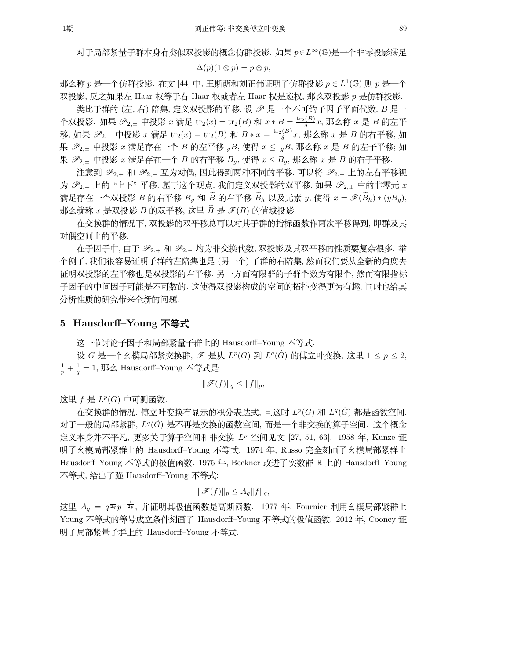对于局部紧量子群本身有类似双投影的概念仿群投影. 如果 p E L ~ (G)是一个非零投影满足

$$
\Delta(p)(1\otimes p)=p\otimes p,
$$

那么称 p 是一个仿群投影. 在文 [44] 中, 王斯萌和刘正伟证明了仿群投影 p  $\in L^1(\mathbb{G})$  则 p 是一个 双投影, 反之如果左 Haar 权等于右 Haar 权或者左 Haar 权是迹权, 那么双投影 p 是仿群投影.

类比于群的 (左, 右) 陪集, 定义双投影的平移. 设 2 是一个不可约子因子平面代数, B 是一 个双投影. 如果  $\mathscr{P}_{2,\pm}$  中投影 x 满足 tr<sub>2</sub>(x) = tr<sub>2</sub>(B) 和 x \* B =  $\frac{\text{tr}_2(B)}{\delta}$ x, 那么称 x 是 B 的左平 移; 如果  $\mathscr{P}_{2,\pm}$  中投影  $x$  满足  $\text{tr}_2(x) = \text{tr}_2(B)$  和  $B * x = \frac{\text{tr}_2(B)}{\delta}x$ , 那么称  $x \not\equiv B$  的右平移; 如 果  $\mathscr{P}_{2,\pm}$  中投影  $x$  满足存在一个  $B$  的左平移  $gB$ , 使得  $x \leq gB$ , 那么称  $x \not\equiv B$  的左子平移; 如 果  $\mathcal{P}_{2,\pm}$  中投影  $x$  满足存在一个  $B$  的右平移  $B_q$ , 使得  $x \leq B_q$ , 那么称  $x \not\equiv B$  的右子平移.

注意到  $\mathscr{P}_{2,+}$  和  $\mathscr{P}_{2,-}$  互为对偶, 因此得到两种不同的平移. 可以将  $\mathscr{P}_{2,-}$  上的左右平移视 为  $\mathscr{P}_{2,+}$ 上的"上下"平移. 基于这个观点, 我们定义双投影的双平移. 如果  $\mathscr{P}_{2,+}$  中的非零元  $x$ 满足存在一个双投影 B 的右平移 B<sub>a</sub> 和  $\widetilde{B}$  的右平移  $\widetilde{B}_h$  以及元素 y, 使得  $x = \mathscr{F}(\widetilde{B}_h) * (yB_q)$ , 那么就称  $x$  是双投影  $B$  的双平移, 这里  $B$  是  $\mathscr{F}(B)$  的值域投影.

在交换群的情况下, 双投影的双平移总可以对其子群的指标函数作两次平移得到, 即群及其 对偶空间上的平移.

在子因子中, 由于  $\mathscr{P}_{2,+}$ 和  $\mathscr{P}_{2,-}$  均为非交换代数, 双投影及其双平移的性质要复杂很多. 举 个例子,我们很容易证明子群的左陪集也是(另一个)子群的右陪集,然而我们要从全新的角度去 证明双投影的左平移也是双投影的右平移. 另一方面有限群的子群个数为有限个, 然而有限指标 子因子的中间因子可能是不可数的. 这使得双投影构成的空间的拓扑变得更为有趣, 同时也给其 分析性质的研究带来全新的问题.

### 5 Hausdorff-Young 不等式

这一节讨论子因子和局部紧量子群上的 Hausdorff-Young 不等式.

设 G 是一个幺模局部紧交换群,  $\mathscr{F}$  是从  $L^p(G)$  到  $L^q(\hat{G})$  的傅立叶变换, 这里  $1 \leq p \leq 2$ ,  $\frac{1}{n} + \frac{1}{q} = 1$ , 那么 Hausdorff-Young 不等式是

$$
\|\mathscr{F}(f)\|_q \le \|f\|_p,
$$

这里  $f \not\equiv L^p(G)$  中可测函数.

在交换群的情况, 傅立叶变换有显示的积分表达式, 且这时  $L^p(G)$  和  $L^q(\hat{G})$  都是函数空间. 对于一般的局部紧群, L<sup>q</sup>(G) 是不再是交换的函数空间, 而是一个非交换的算子空间. 这个概念 定义本身并不平凡, 更多关于算子空间和非交换 LP 空间见文 [27, 51, 63]. 1958 年, Kunze 证 明了幺模局部紧群上的 Hausdorff-Young 不等式. 1974 年, Russo 完全刻画了幺模局部紧群上 Hausdorff-Young 不等式的极值函数. 1975 年, Beckner 改进了实数群 R 上的 Hausdorff-Young 不等式, 给出了强 Hausdorff-Young 不等式:

$$
\|\mathscr{F}(f)\|_p\leq A_q\|f\|_q,
$$

这里  $A_{\sigma} = q^{\frac{1}{2q}} p^{-\frac{1}{2p}},$  并证明其极值函数是高斯函数. 1977 年, Fournier 利用幺模局部紧群上 Young 不等式的等号成立条件刻画了 Hausdorff-Young 不等式的极值函数. 2012 年, Cooney 证 明了局部紧量子群上的 Hausdorff-Young 不等式.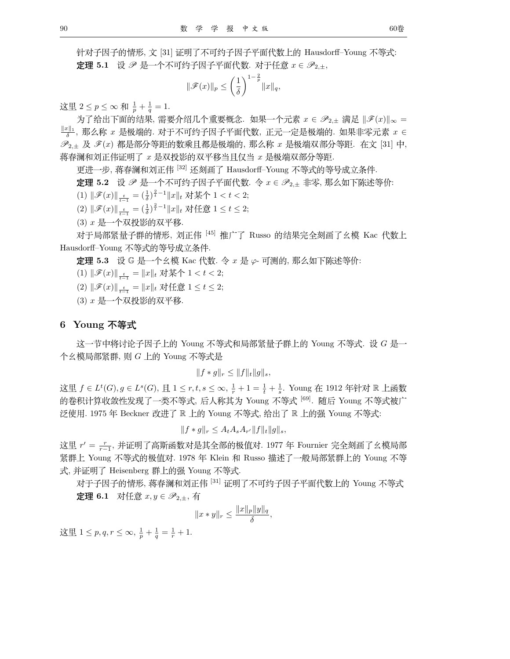针对子因子的情形, 文 [31] 证明了不可约子因子平面代数上的 Hausdorff-Young 不等式: **定理 5.1** 设 ≥ 是一个不可约子因子平面代数. 对于任意  $x \in \mathscr{P}_{2,\pm}$ ,

$$
\|\mathscr{F}(x)\|_p \le \left(\frac{1}{\delta}\right)^{1-\frac{2}{p}}\|x\|_q,
$$

这里 2 ≤ p ≤ ∞ 和  $\frac{1}{p} + \frac{1}{q} = 1$ .<br>→ → マム・リエアがかな思 《電票へのリへ電票標

 $\mathcal{B}$ 了给出下面的结果, 需要介绍几个重要概念. 如果一个元素  $x \in \mathscr{P}_{2,\pm}$  满足  $\|\mathscr{F}(x)\|_{\infty} =$  $\frac{w_{11}}{a}$ , 那么称  $x$  是极端的. 对于不可约子因子平面代数, 正元一定是极端的. 如果非零元素  $x \in \mathbb{R}$  $\mathscr{P}_{2,\pm}$  及  $\mathscr{F}(x)$  都是部分等距的数乘且都是极端的, 那么称  $x$  是极端双部分等距. 在文 [31] 中, 蒋春澜和刘正伟证明了  $x$  是双投影的双平移当且仅当  $x$  是极端双部分等距.

更进一步, 蒋春澜和刘正伟 [32] 还刻画了 Hausdorff-Young 不等式的等号成立条件.

 $\vec{x}$  **理 5.2** 设  $\mathscr{P}$  是一个不可约子因子平面代数. 令  $x \in \mathscr{P}_{2,\pm}$  非零, 那么如下陈述等价:

(1)  $\|\mathscr{F}(x)\|_{\frac{t}{t-1}} = (\frac{1}{\delta})^{\frac{2}{t}-1} \|x\|_{t}$  对某个 1 < t < 2;

(2)  $\|\mathscr{F}(x)\|_{\frac{t}{t-1}} = (\frac{1}{\delta})^{\frac{2}{t}-1} \|x\|_{t}$  对任意 1 ≤ t ≤ 2;

 $(3)$   $x$  是一个双投影的双平移.

对于局部紧量子群的情形, 刘正伟 [45] 推广了 Russo 的结果完全刻画了幺模 Kac 代数上 Hausdorff-Young 不等式的等号成立条件.

 $\vec{x}$  **理 5.3** 设 G 是一个幺模 Kac 代数. 令  $x$  是  $\varphi$  可测的, 那么如下陈述等价:

(1)  $\|\mathscr{F}(x)\|_{\frac{t}{t-1}} = \|x\|_t$  对某个 1 < t < 2;

(2)  $\|\mathscr{F}(x)\|_{\frac{t}{t-1}} = \|x\|_t$  对任意 1 ≤ t ≤ 2;

 $(3)$   $x$  是一个双投影的双平移.

## 6 Young 不等式

这一节中将讨论子因子上的 Young 不等式和局部紧量子群上的 Young 不等式. 设 G 是一 个幺模局部紧群, 则  $G$  上的 Young 不等式是

$$
||f * g||_r \leq ||f||_t ||g||_s,
$$

这里  $f \in L^t(G)$ ,  $g \in L^s(G)$ ,  $\Xi$  1 ≤ r, t, s ≤ ∞,  $\frac{1}{r} + 1 = \frac{1}{t} + \frac{1}{s}$ . Young 在 1912 年针对 ℝ 上函数 的卷积计算收敛性发现了一类不等式, 后人称其为 Young 不等式 [69]. 随后 Young 不等式被广 泛使用. 1975 年 Beckner 改进了 R 上的 Young 不等式, 给出了 R 上的强 Young 不等式:

$$
||f * g||_r \le A_t A_s A_{r'} ||f||_t ||g||_s,
$$

这里 r′ = ---, 并证明了高斯函数对是其全部的极值对. 1977 年 Fournier 完全刻画了幺模局部<br>肾形上,又可然尤约切焦动. 1979 年 12.1.第 P = -- 世决了,魏昌巡坚张上的 M = -- 无然 紧群上 Young 不等式的极值对. 1978 年 Klein 和 Russo 描述了一般局部紧群上的 Young 不等 式, 并证明了 Heisenberg 群上的强 Young 不等式.

对于子因子的情形, 蒋春澜和刘正伟 [31] 证明了不可约子因子平面代数上的 Young 不等式 **定理 6.1** 对任意  $x, y$  ∈  $\mathscr{P}_{2+}$ , 有

$$
||x*y||_r \leq \frac{||x||_p||y||_q}{\delta},
$$

 $\text{if } 1 \leq p, q, r \leq \infty, \frac{1}{p} + \frac{1}{q} = \frac{1}{r} + 1.$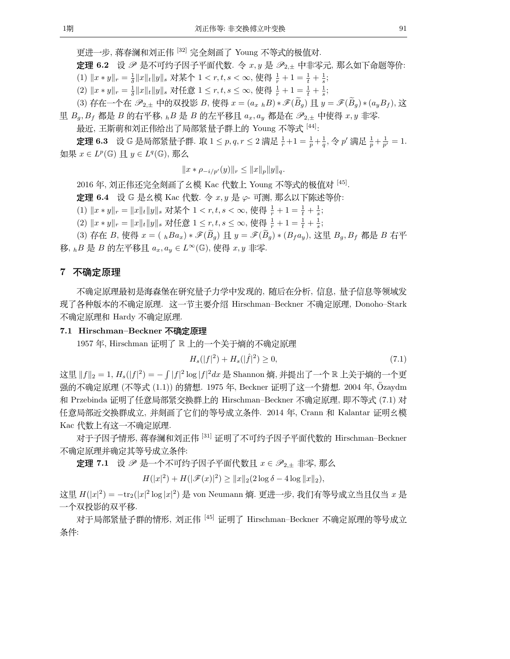更进一步, 蒋春澜和刘正伟 [32] 完全刻画了 Young 不等式的极值对.

**定理 6.2** 设 & 是不可约子因子平面代数. 令 x, y 是  $\mathscr{P}_{2,\pm}$  中非零元, 那么如下命题等价:

(1) <sup>x</sup> <sup>∗</sup> <sup>y</sup>r <sup>=</sup> <sup>1</sup> δ xty<sup>s</sup> <sup>t</sup> <sup>1</sup> < r, t, s < <sup>∞</sup>, B0 <sup>1</sup> r +1= <sup>1</sup> t <sup>+</sup> <sup>1</sup> s ; (2) <sup>x</sup> <sup>∗</sup> <sup>y</sup>r <sup>=</sup> <sup>1</sup> δ xty<sup>s</sup> CE <sup>1</sup> <sup>≤</sup> r, t, s ≤ ∞, B0 <sup>1</sup> r +1= <sup>1</sup> t <sup>+</sup> <sup>1</sup> s ;

(3) 存在一个在  $\mathscr{P}_{2,\pm}$  中的双投影  $B$ , 使得  $x = (a_{x \hbar}B) * \mathscr{F}(\widetilde{B}_q)$  且  $y = \mathscr{F}(\widetilde{B}_q) * (a_uB_f)$ , 这 里  $B_q$ ,  $B_f$  都是 B 的右平移,  $h$ B 是 B 的左平移且  $a_x$ ,  $a_y$  都是在  $\mathscr{P}_{2,\pm}$  中使得  $x, y$  非零.

最近, 王斯萌和刘正伟给出了局部紧量子群上的 Young 不等式 [44]:

**定理 6.3** 设 G 是局部紧量子群. 取  $1 \le p, q, r \le 2$  满足  $\frac{1}{r} + 1 = \frac{1}{p} + \frac{1}{q}, \diamondsuit p'$  满足  $\frac{1}{p} + \frac{1}{p'} = 1$ .  $\Box \mathbb{R}$   $x \in L^p(\mathbb{G})$   $\underline{\mathrm{H}}$   $y \in L^q(\mathbb{G})$ , 那么

 $||x * \rho_{-i/p'}(y)||_r \leq ||x||_p ||y||_q.$ 

2016 年, 刘正伟还完全刻画了幺模 Kac 代数上 Young 不等式的极值对 [45].

 $\vec{x}$  **理 6.4** 设 G 是幺模 Kac 代数. 令  $x, y$  是  $\varphi$ - 可测, 那么以下陈述等价:

(1)  $||x * y||_r = ||x||_t ||y||_s$  对某个 1 < r, t, s < ∞, 使得  $\frac{1}{r} + 1 = \frac{1}{t} + \frac{1}{s}$ ;<br>(2)  $||x - y||_r = ||x||_r + (1 + \frac{1}{s})$ 

(2)  $||x*y||_r = ||x||_t ||y||_s$  对任意  $1 \le r, t, s \le \infty$ , 使得  $\frac{1}{r} + 1 = \frac{1}{t} + \frac{1}{s};$ 

(3) 存在 B, 使得  $x = (hBa_x) * \mathscr{F}(\widetilde{B}_g) \perp y = \mathscr{F}(\widetilde{B}_g) * (B_f a_y)$ , 这里  $B_g, B_f$  都是 B 右平 移, <sub>h</sub>B 是 B 的左平移且  $a_x, a_y \in L^\infty(\mathbb{G})$ , 使得  $x, y$  非零.

# 7 不确定原理

不确定原理最初是海森堡在研究量子力学中发现的,随后在分析,信息,量子信息等领域发 现了各种版本的不确定原理. 这一节主要介绍 Hirschman–Beckner 不确定原理, Donoho–Stark 不确定原理和 Hardy 不确定原理.

#### 7.1 Hirschman–Beckner 不确定原理

1957 年, Hirschman 证明了 R 上的一个关于熵的不确定原理

$$
H_s(|f|^2) + H_s(|f|^2) \ge 0,\t\t(7.1)
$$

这里  $||f||_2 = 1$ ,  $H_s(|f|^2) = -\int |f|^2 \log |f|^2 dx$  是 Shannon 熵, 并提出了一个 ℝ 上关于熵的一个更 强的不确定原理 (不等式 (1.1)) 的猜想. 1975 年, Beckner 证明了这一个猜想. 2004 年, Özaydm 和 Przebinda 证明了任意局部紧交换群上的 Hirschman–Beckner 不确定原理, 即不等式 (7.1) 对 任意局部近交换群成立, 并刻画了它们的等号成立条件. 2014 年, Crann 和 Kalantar 证明幺模 Kac 代数上有这一不确定原理.

对于子因子情形, 蒋春澜和刘正伟 [31] 证明了不可约子因子平面代数的 Hirschman-Beckner 不确定原理并确定其等号成立条件:

 $\vec{x}$ 理 7.1 设  $\mathscr{P}$  是一个不可约子因子平面代数且  $x \in \mathscr{P}_{2,\pm}$  非零, 那么

 $H(|x|^2) + H(|\mathscr{F}(x)|^2) \ge ||x||_2(2\log \delta - 4\log ||x||_2),$ 

这里  $H(|x|^2) = -\text{tr}_2(|x|^2 \log |x|^2)$  是 von Neumann 熵. 更进一步, 我们有等号成立当且仅当  $x$  是 一个双投影的双平移.

对于局部紧量子群的情形, 刘正伟 [45] 证明了 Hirschman–Beckner 不确定原理的等号成立 条件: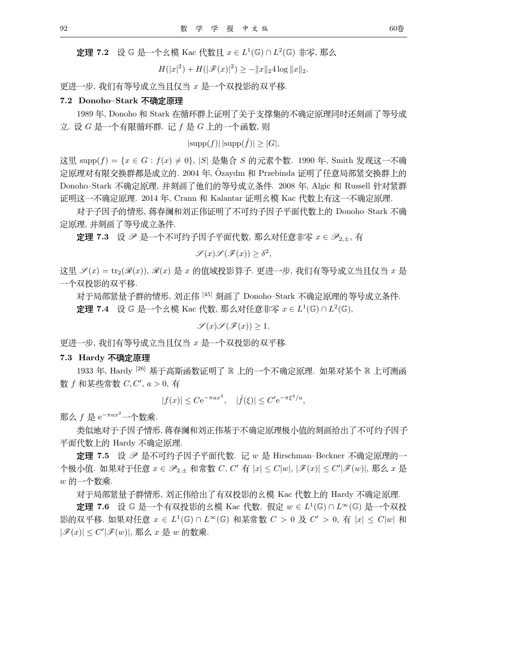$\mathbf{\dot{E}}$ 理 7.2 设 G 是一个幺模 Kac 代数且  $x \in L^1(\mathbb{G}) \cap L^2(\mathbb{G})$  非零, 那么

 $H(|x|^2) + H(|\mathscr{F}(x)|^2) \geq -||x||_2 4 \log ||x||_2.$ 

更进一步, 我们有等号成立当且仅当 x 是一个双投影的双平移.

#### 7.2 Donoho-Stark 不确定原理

1989 年, Donoho 和 Stark 在循环群上证明了关于支撑集的不确定原理同时还刻画了等号成 立. 设  $G$  是一个有限循环群. 记  $f$  是  $G$  上的一个函数, 则

 $|\text{supp}(f)| \, |\text{supp}(\hat{f})| > |G|$ ,

这里 supp(f) =  $\{x \in G : f(x) \neq 0\}$ ,  $|S|$  是集合 S 的元素个数. 1990 年, Smith 发现这一不确 定原理对有限交换群都是成立的. 2004 年, Özaydm 和 Przebinda 证明了任意局部紧交换群上的 Donoho-Stark 不确定原理, 并刻画了他们的等号成立条件. 2008 年, Algic 和 Russell 针对紧群 证明这一不确定原理. 2014 年, Crann 和 Kalantar 证明幺模 Kac 代数上有这一不确定原理.

对于子因子的情形, 蒋春澜和刘正伟证明了不可约子因子平面代数上的 Donoho-Stark 不确 定原理, 并刻画了等号成立条件.

**定理 7.3** 设 少 是一个不可约子因子平面代数, 那么对任意非零  $x \in \mathscr{P}_{2,\pm}$ , 有

$$
\mathscr{S}(x)\mathscr{S}(\mathscr{F}(x))\geq \delta^2,
$$

这里  $\mathcal{S}(x) = \text{tr}_2(\mathcal{R}(x)), \mathcal{R}(x)$  是  $x$  的值域投影算子. 更进一步, 我们有等号成立当且仅当  $x$  是 一个双投影的双平移.

对于局部紧量子群的情形, 刘正伟 <sup>[45]</sup> 刻画了 Donoho–Stark 不确定原理的等号成立条件.

**定理 7.4** 设 G 是一个幺模 Kac 代数, 那么对任意非零  $x \in L^1(\mathbb{G}) \cap L^2(\mathbb{G})$ ,

$$
\mathscr{S}(x)\mathscr{S}(\mathscr{F}(x))\geq 1.
$$

更进一步, 我们有等号成立当且仅当 x 是一个双投影的双平移.

**7.3 Hardy 不确定原理** 

1933 年, Hardy <sup>[26]</sup> 基于高斯函数证明了 R. 上的一个不确定原理. 如果对某个 R. 上可测函 数  $f$  和某些常数  $C, C', a > 0,$  有

$$
|f(x)| \leq C e^{-\pi a x^2}
$$
,  $|\hat{f}(\xi)| \leq C' e^{-\pi \xi^2/a}$ ,

 $\frac{1}{2}$   $\frac{1}{2}$   $\frac{1}{2}$   $\frac{1}{2}$   $\frac{1}{2}$   $\frac{1}{2}$   $\frac{1}{2}$   $\frac{1}{2}$   $\frac{1}{2}$   $\frac{1}{2}$   $\frac{1}{2}$   $\frac{1}{2}$   $\frac{1}{2}$   $\frac{1}{2}$   $\frac{1}{2}$   $\frac{1}{2}$   $\frac{1}{2}$   $\frac{1}{2}$   $\frac{1}{2}$   $\frac{1}{2}$   $\frac{1}{2}$   $\frac{1}{2}$ 

类似地对于子因子情形,蒋春澜和刘正伟基于不确定原理极小值的刻画给出了不可约子因子 平面代数上的 Hardy 不确定原理.

定理 7.5 设 2 是不可约子因子平面代数. 记 w 是 Hirschman-Beckner 不确定原理的一 个极小值. 如果对于任意 *x* ∈  $\mathscr{P}_{2,\pm}$  和常数 *C*, *C'* 有 |*x*| ≤ *C'|w|, |ℱ(x)|* ≤ *C'|ℱ(w)|,* 那么 *x* 是  $w$  的一个数乘.

对于局部紧量子群情形, 刘正伟给出了有双投影的幺模 Kac 代数上的 Hardy 不确定原理.

**定理 7.6** 设 G 是一个有双投影的幺模 Kac 代数. 假定  $w \in L^1(\mathbb{G}) \cap L^\infty(\mathbb{G})$  是一个双投 影的双平移. 如果对任意  $x \in L^1(\mathbb{G}) \cap L^\infty(\mathbb{G})$  和某常数  $C > 0$  及  $C' > 0$ , 有  $|x| \leq C|w|$  和  $|\mathscr{F}(x)| \leq C' |\mathscr{F}(w)|$ , 那么  $x \not\equiv w$  的数乘.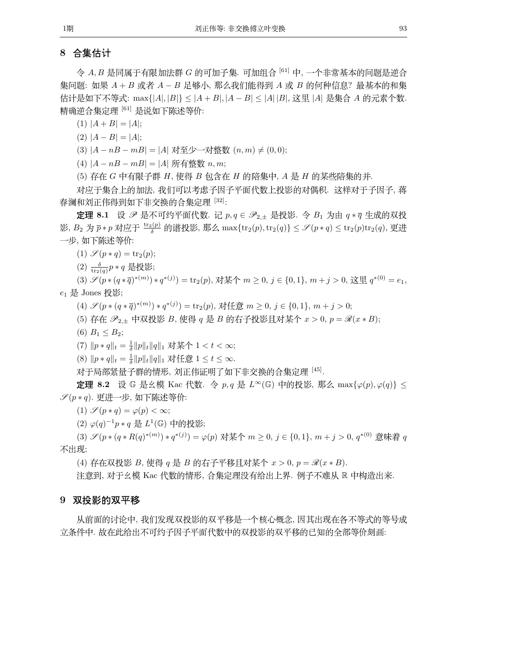# 8 合集估计

 $\hat{\varphi}$  A, B 是同属于有限加法群 G 的可加子集. 可加组合  $^{[61]}$  中, 一个非常基本的问题是逆合 集问题: 如果  $A + B$  或者  $A - B$  足够小, 那么我们能得到  $A$  或  $B$  的何种信息? 最基本的和集 估计是如下不等式: max{|A|, |B|} ≤ |A + B|, |A − B| ≤ |A| |B|, 这里 |A| 是集合 A 的元素个数. 精确逆合集定理 [61] 是说如下陈述等价:

(1)  $|A + B| = |A|$ ;

(2)  $|A - B| = |A|$ ;

(3)  $|A - nB - mB| = |A|$  对至少一对整数  $(n, m) \neq (0, 0);$ 

(4)  $|A - nB - mB| = |A|$  所有整数  $n, m;$ 

 $(5)$  存在  $G$  中有限子群  $H$ , 使得  $B$  包含在  $H$  的陪集中,  $A \not\equiv H$  的某些陪集的并.

对应于集合上的加法, 我们可以考虑子因子平面代数上投影的对偶积. 这样对于子因子, 蒋 春澜和刘正伟得到如下非交换的合集定理 [32]:

**定理 8.1** 设  $\mathscr{P}$  是不可约平面代数. 记  $p, q \in \mathscr{P}_{2,\pm}$  是投影. 令  $B_1$  为由  $q * \bar{q}$  生成的双投 影,  $B_2$  为  $\overline{p} * p$  对应于  $\frac{\text{tr}_2(p)}{\delta}$  的谱投影, 那么 max{ $\text{tr}_2(p), \text{tr}_2(q)$ } ≤  $\mathscr{S}(p * q)$  ≤  $\text{tr}_2(p)\text{tr}_2(q)$ , 更进 一步,如下陈述等价:

(1)  $\mathscr{S}(p * q) = \text{tr}_2(p);$ 

 $\frac{1}{2}$   $\frac{1}{\text{tr}_2(q)} p * q$  是投影;

(3)  $\mathscr{S}(p*(q*\overline{q})^{*(m)}) * q^{*(j)}) = \text{tr}_2(p)$ , 对某个  $m \geq 0$ ,  $j \in \{0,1\}$ ,  $m + j > 0$ , 这里  $q^{*(0)} = e_1$ ,  $e_1 \not\equiv$  Jones 投影;

(4)  $\mathscr{S}(p*(q*\overline{q})^{*(m)}) * q^{*(j)}) = \text{tr}_2(p)$ , 对任意  $m \geq 0$ ,  $j \in \{0,1\}$ ,  $m + j > 0$ ;

(5) 存在  $\mathscr{P}_{2,\pm}$  中双投影 B, 使得 q 是 B 的右子投影且对某个  $x > 0$ ,  $p = \mathscr{R}(x * B);$ 

(6)  $B_1 \leq B_2$ ;

(7)  $\|p * q\|_t = \frac{1}{\delta} \|p\|_t \|q\|_1$  对某个 1 < t < ∞;

(8)  $\|p * q\|_t = \frac{1}{\delta} \|p\|_t \|q\|_1$  对任意  $1 \le t \le \infty$ .<br>s+エ目迦图 是无整体壁的 词工作订明了如工业尤指在化人作户

对于局部紧量子群的情形, 刘正伟证明了如下非交换的合集定理 [45].

**定理 8.2** 设 G 是幺模 Kac 代数. 令 p, q 是 L<sup>∞</sup>(G) 中的投影, 那么 max{ $\varphi(p), \varphi(q)$ } ≤  $\mathscr{S}(p * q)$ . 更进一步, 如下陈述等价:

(1)  $\mathscr{S}(p * q) = \varphi(p) < \infty;$ 

(2)  $\varphi(q)^{-1}p * q \not\equiv L^1(\mathbb{G})$  中的投影;

(3)  $\mathscr{S}(p*(q*R(q)^{*(m)}) * q^{*(j)}) = \varphi(p)$  对某个  $m ≥ 0, j ∈ {0, 1}, m + j > 0, q^{*(0)}$  意味着 q 不出现;

(4) 存在双投影  $B$ , 使得  $q \not\equiv B$  的右子平移且对某个  $x > 0$ ,  $p = \mathscr{R}(x * B)$ .

注意到, 对于幺模 Kac 代数的情形, 合集定理没有给出上界. 例子不难从 R 中构造出来.

### 9 双投影的双平移

从前面的讨论中,我们发现双投影的双平移是一个核心概念, 因其出现在各不等式的等号成 立条件中. 故在此给出不可约子因子平面代数中的双投影的双平移的已知的全部等价刻画: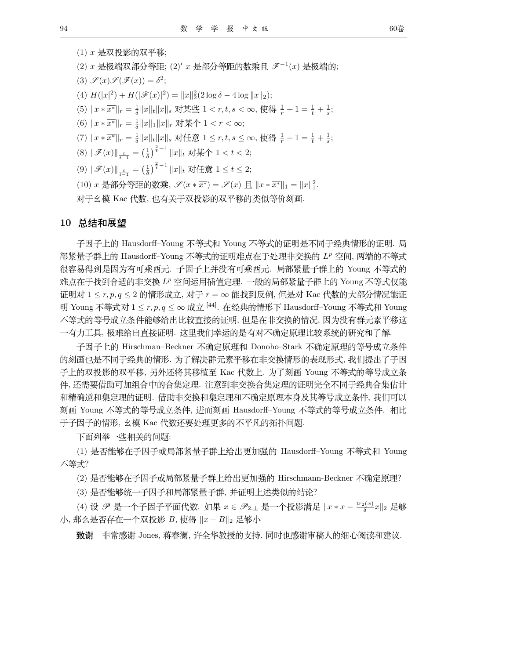$(1)$   $x$  是双投影的双平移; (2) x 是极端双部分等距; (2)' x 是部分等距的数乘且  $\mathscr{F}^{-1}(x)$  是极端的; (3)  $\mathscr{S}(x)\mathscr{S}(\mathscr{F}(x)) = \delta^2;$ (4)  $H(|x|^2) + H(|\mathscr{F}(x)|^2) = ||x||_2^2(2\log \delta - 4\log ||x||_2);$ (5)  $||x * \overline{x^*}||_r = \frac{1}{\delta} ||x||_t ||x||_s$  对某些 1 < r, t, s < ∞, 使得  $\frac{1}{r} + 1 = \frac{1}{t} + \frac{1}{s}$ ; (6)  $||x * \overline{x^*}||_r = \frac{1}{\delta} ||x||_1 ||x||_r$  对某个 1 < r < ∞; (7)  $||x \times \overline{x^*}||_r = \frac{1}{\delta} ||x||_t ||x||_s$  对任意 1 ≤ r, t, s ≤ ∞, 使得  $\frac{1}{r} + 1 = \frac{1}{t} + \frac{1}{s}$ ; (8)  $\|\mathscr{F}(x)\|_{\frac{t}{t-1}} = \left(\frac{1}{\delta}\right)^{\frac{2}{t}-1} \|x\|_{t} \; \text{My} \star \uparrow 1 < t < 2;$ (9)  $\|\mathscr{F}(x)\|_{\frac{t}{t-1}} = \left(\frac{1}{\delta}\right)^{\frac{2}{t}-1} \|x\|_{t} \; \text{with} \; 1 \leq t \leq 2;$ (10)  $x \neq \mathbb{R}$ 部分等距的数乘,  $\mathscr{S}(x * \overline{x^*}) = \mathscr{S}(x)$  且  $||x * \overline{x^*}||_1 = ||x||_1^2$ . 对于幺模 Kac 代数, 也有关于双投影的双平移的类似等价刻画.

#### 10 总结和展望

子因子上的 Hausdorff-Young 不等式和 Young 不等式的证明是不同于经典情形的证明. 局 部紧量子群上的 Hausdorff-Young 不等式的证明难点在于处理非交换的  $L^p$  空间, 两端的不等式 很容易得到是因为有可乘酉元. 子因子上并没有可乘酉元. 局部紧量子群上的 Young 不等式的 难点在于找到合适的非交换 LP 空间运用插值定理. 一般的局部紧量子群上的 Young 不等式仅能 证明对  $1 \leq r, p, q \leq 2$  的情形成立, 对于  $r = \infty$  能找到反例, 但是对 Kac 代数的大部分情况能证 明 Young 不等式对  $1 \leq r, p, q \leq \infty$  成立 <sup>[44]</sup>. 在经典的情形下 Hausdorff–Young 不等式和 Young 不等式的等号成立条件能够给出比较直接的证明, 但是在非交换的情况, 因为没有群元素平移这 一有力工具, 极难给出直接证明. 这里我们幸运的是有对不确定原理比较系统的研究和了解.

子因子上的 Hirschman-Beckner 不确定原理和 Donoho-Stark 不确定原理的等号成立条件 的刻画也是不同于经典的情形. 为了解决群元素平移在非交换情形的表现形式, 我们提出了子因 子上的双投影的双平移, 另外还将其移植至 Kac 代数上. 为了刻画 Young 不等式的等号成立条 件, 还需要借助可加组合中的合集定理. 注意到非交换合集定理的证明完全不同于经典合集估计 和精确逆和集定理的证明. 借助非交换和集定理和不确定原理本身及其等号成立条件, 我们可以 刻画 Young 不等式的等号成立条件, 进而刻画 Hausdorff-Young 不等式的等号成立条件. 相比 于子因子的情形, 幺模 Kac 代数还要处理更多的不平凡的拓扑问题.

下面列举一些相关的问题:

(1) 是否能够在子因子或局部紧量子群上给出更加强的 Hausdorff-Young 不等式和 Young 不等式?

(2) 是否能够在子因子或局部紧量子群上给出更加强的 Hirschmann-Beckner 不确定原理?

(3) 是否能够统一子因子和局部紧量子群, 并证明上述类似的结论?

(4) 设 *ዎ* 是一个子因子平面代数. 如果  $x \in \mathscr{P}_{2,\pm}$  是一个投影满足  $\|x * x - \frac{\mathrm{tr}_2(x)}{\delta} x\|_2$  足够  $\Lambda$ , 那么是否存在一个双投影  $B$ , 使得  $||x - B||_2$  足够小

致谢 非常感谢 Jones, 蒋春澜, 许全华教授的支持. 同时也感谢审稿人的细心阅读和建议.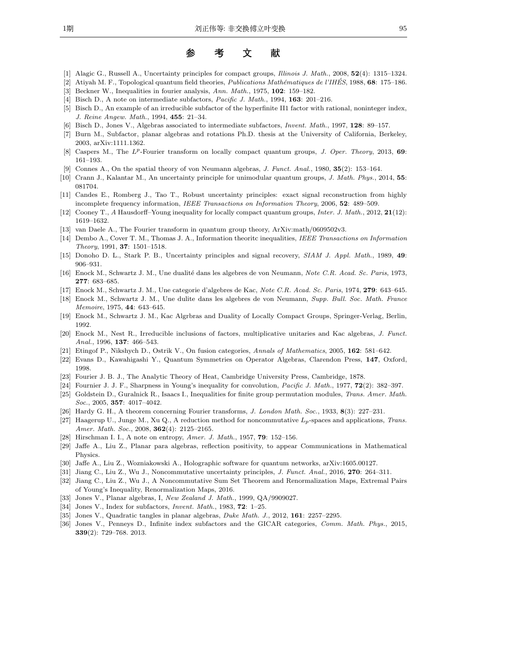#### 考 文 参 <sup>|</sup> } <sup>~</sup>

- [1] Alagic G., Russell A., Uncertainty principles for compact groups, *Illinois J. Math.*, 2008, **52**(4): 1315–1324.
- [2] Atiyah M. F., Topological quantum field theories, *Publications Math´ematiques de l'IHES´* , 1988, **68**: 175–186.
- [3] Beckner W., Inequalities in fourier analysis, *Ann. Math.*, 1975, **102**: 159–182.
- [4] Bisch D., A note on intermediate subfactors, *Pacific J. Math.*, 1994, **163**: 201–216.
- [5] Bisch D., An example of an irreducible subfactor of the hyperfinite II1 factor with rational, noninteger index, *J. Reine Angew. Math.*, 1994, **455**: 21–34.
- [6] Bisch D., Jones V., Algebras associated to intermediate subfactors, *Invent. Math.*, 1997, **128**: 89–157.
- [7] Burn M., Subfactor, planar algebras and rotations Ph.D. thesis at the University of California, Berkeley, 2003, arXiv:1111.1362.
- [8] Caspers M., The *Lp*-Fourier transform on locally compact quantum groups, *J. Oper. Theory*, 2013, **69**: 161–193.
- [9] Connes A., On the spatial theory of von Neumann algebras, *J. Funct. Anal.*, 1980, **35**(2): 153–164.
- [10] Crann J., Kalantar M., An uncertainty principle for unimodular quantum groups, *J. Math. Phys.*, 2014, **55**: 081704.
- [11] Candes E., Romberg J., Tao T., Robust uncertainty principles: exact signal reconstruction from highly incomplete frequency information, *IEEE Transactions on Information Theory*, 2006, **52**: 489–509.
- [12] Cooney T., *A* Hausdorff–Young inequality for locally compact quantum groups, *Inter. J. Math.*, 2012, **21**(12): 1619–1632.
- [13] van Daele A., The Fourier transform in quantum group theory, ArXiv:math/0609502v3.
- [14] Dembo A., Cover T. M., Thomas J. A., Information theoritc inequalities, *IEEE Transactions on Information Theory*, 1991, **37**: 1501–1518.
- [15] Donoho D. L., Stark P. B., Uncertainty principles and signal recovery, *SIAM J. Appl. Math.*, 1989, **49**: 906–931.
- [16] Enock M., Schwartz J. M., Une dualit´e dans les algebres de von Neumann, *Note C.R. Acad. Sc. Paris*, 1973, **277**: 683–685.
- [17] Enock M., Schwartz J. M., Une categorie d'algebres de Kac, *Note C.R. Acad. Sc. Paris*, 1974, **279**: 643–645.
- [18] Enock M., Schwartz J. M., Une dulite dans les algebres de von Neumann, *Supp. Bull. Soc. Math. France Memoire*, 1975, **44**: 643–645.
- [19] Enock M., Schwartz J. M., Kac Algrbras and Duality of Locally Compact Groups, Springer-Verlag, Berlin, 1992.
- [20] Enock M., Nest R., Irreducible inclusions of factors, multiplicative unitaries and Kac algebras, *J. Funct. Anal.*, 1996, **137**: 466–543.
- [21] Etingof P., Nikshych D., Ostrik V., On fusion categories, *Annals of Mathematics*, 2005, **162**: 581–642.
- [22] Evans D., Kawahigashi Y., Quantum Symmetries on Operator Algebras, Clarendon Press, **147**, Oxford, 1998.
- [23] Fourier J. B. J., The Analytic Theory of Heat, Cambridge University Press, Cambridge, 1878.
- [24] Fournier J. J. F., Sharpness in Young's inequality for convolution, *Pacific J. Math.*, 1977, **72**(2): 382–397.
- [25] Goldstein D., Guralnick R., Isaacs I., Inequalities for finite group permutation modules, *Trans. Amer. Math. Soc.*, 2005, **357**: 4017–4042.
- [26] Hardy G. H., A theorem concerning Fourier transforms, *J. London Math. Soc.*, 1933, **8**(3): 227–231.
- [27] Haagerup U., Junge M., Xu Q., A reduction method for noncommutative *Lp*-spaces and applications, *Trans. Amer. Math. Soc.*, 2008, **362**(4): 2125–2165.
- [28] Hirschman I. I., A note on entropy, *Amer. J. Math.*, 1957, **79**: 152–156.
- [29] Jaffe A., Liu Z., Planar para algebras, reflection positivity, to appear Communications in Mathematical Physics.
- [30] Jaffe A., Liu Z., Wozniakowski A., Holographic software for quantum networks, arXiv:1605.00127.
- [31] Jiang C., Liu Z., Wu J., Noncommutative uncertainty principles, *J. Funct. Anal.*, 2016, **270**: 264–311.
- [32] Jiang C., Liu Z., Wu J., A Noncommutative Sum Set Theorem and Renormalization Maps, Extremal Pairs of Young's Inequality, Renormalization Maps, 2016.
- [33] Jones V., Planar algebras, I, *New Zealand J. Math.*, 1999, QA/9909027.
- [34] Jones V., Index for subfactors, *Invent. Math.*, 1983, **72**: 1–25.
- [35] Jones V., Quadratic tangles in planar algebras, *Duke Math. J.*, 2012, **161**: 2257–2295.
- [36] Jones V., Penneys D., Infinite index subfactors and the GICAR categories, *Comm. Math. Phys.*, 2015, **339**(2): 729–768. 2013.